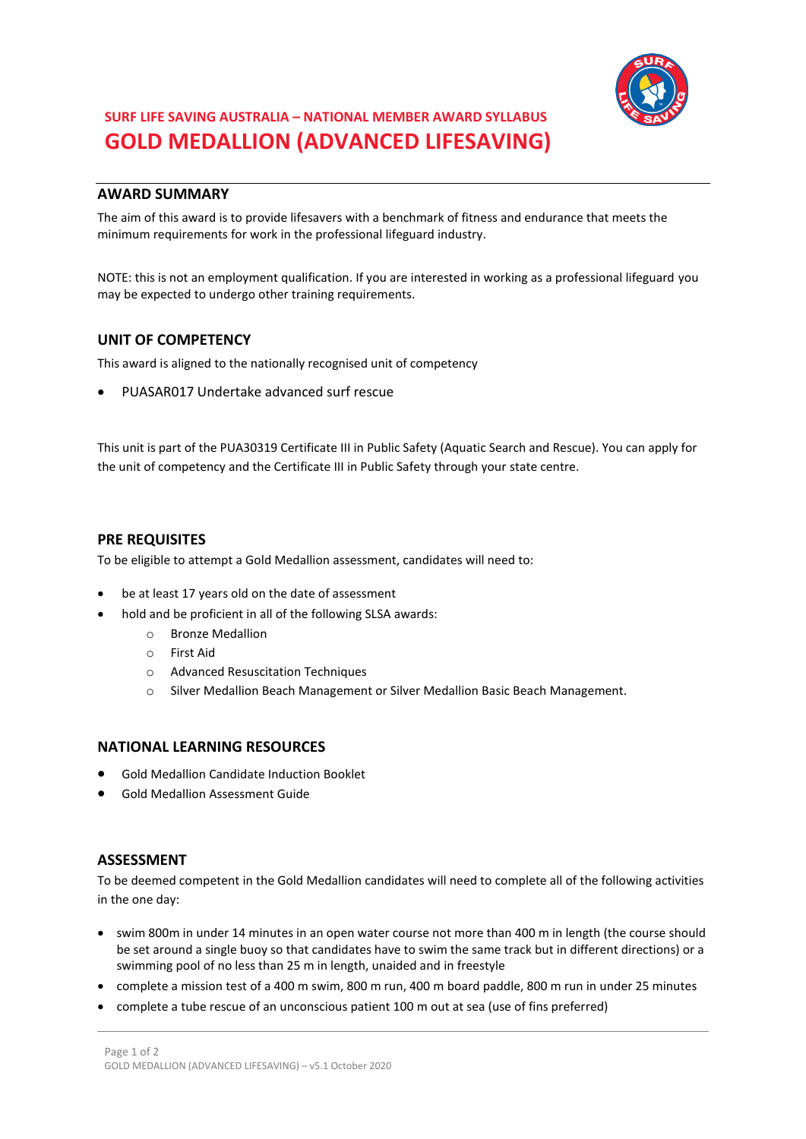

# **SURF LIFE SAVING AUSTRALIA – NATIONAL MEMBER AWARD SYLLABUS GOLD MEDALLION (ADVANCED LIFESAVING)**

# **AWARD SUMMARY**

The aim of this award is to provide lifesavers with a benchmark of fitness and endurance that meets the minimum requirements for work in the professional lifeguard industry.

NOTE: this is not an employment qualification. If you are interested in working as a professional lifeguard you may be expected to undergo other training requirements.

# **UNIT OF COMPETENCY**

This award is aligned to the nationally recognised unit of competency

PUASAR017 Undertake advanced surf rescue

This unit is part of the PUA30319 Certificate III in Public Safety (Aquatic Search and Rescue). You can apply for the unit of competency and the Certificate III in Public Safety through your state centre.

### **PRE REQUISITES**

To be eligible to attempt a Gold Medallion assessment, candidates will need to:

- be at least 17 years old on the date of assessment
- hold and be proficient in all of the following SLSA awards:
	- o Bronze Medallion
	- o First Aid
	- o Advanced Resuscitation Techniques
	- o Silver Medallion Beach Management or Silver Medallion Basic Beach Management.

### **NATIONAL LEARNING RESOURCES**

- Gold Medallion Candidate Induction Booklet
- Gold Medallion Assessment Guide

#### **ASSESSMENT**

To be deemed competent in the Gold Medallion candidates will need to complete all of the following activities in the one day:

- swim 800m in under 14 minutes in an open water course not more than 400 m in length (the course should be set around a single buoy so that candidates have to swim the same track but in different directions) or a swimming pool of no less than 25 m in length, unaided and in freestyle
- complete a mission test of a 400 m swim, 800 m run, 400 m board paddle, 800 m run in under 25 minutes
- complete a tube rescue of an unconscious patient 100 m out at sea (use of fins preferred)